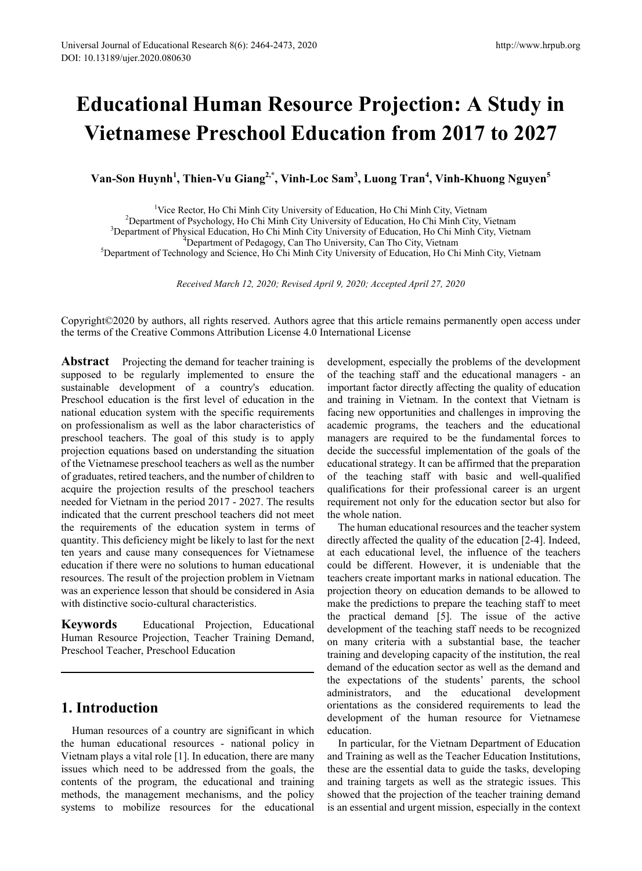# **Educational Human Resource Projection: A Study in Vietnamese Preschool Education from 2017 to 2027**

**Van-Son Huynh<sup>1</sup> , Thien-Vu Giang2,\*, Vinh-Loc Sam3 , Luong Tran<sup>4</sup> , Vinh-Khuong Nguyen<sup>5</sup>**

<sup>1</sup>Vice Rector, Ho Chi Minh City University of Education, Ho Chi Minh City, Vietnam Vice Rector, Ho Chi Minh City University of Education, Ho Chi Minh City, Vietnam <sup>2</sup>

Department of Psychology, Ho Chi Minh City University of Education, Ho Chi Minh City, Vietnam <sup>3</sup>

<sup>3</sup>Department of Physical Education, Ho Chi Minh City University of Education, Ho Chi Minh City, Vietnam  $4$ Department of Pedagogy, Can Tho University, Can Tho City, Vietnam

\*Department of Pedagogy, Can Tho University, Can Tho City, Vietnam<br><sup>5</sup>Department of Technology and Science, Ho Chi Minh City University of Education, Ho Chi Minh City, Vietnam<sup>5</sup>

*Received March 12, 2020; Revised April 9, 2020; Accepted April 27, 2020*

Copyright©2020 by authors, all rights reserved. Authors agree that this article remains permanently open access under the terms of the Creative Commons Attribution License 4.0 International License

**Abstract** Projecting the demand for teacher training is supposed to be regularly implemented to ensure the sustainable development of a country's education. Preschool education is the first level of education in the national education system with the specific requirements on professionalism as well as the labor characteristics of preschool teachers. The goal of this study is to apply projection equations based on understanding the situation of the Vietnamese preschool teachers as well as the number of graduates, retired teachers, and the number of children to acquire the projection results of the preschool teachers needed for Vietnam in the period 2017 - 2027. The results indicated that the current preschool teachers did not meet the requirements of the education system in terms of quantity. This deficiency might be likely to last for the next ten years and cause many consequences for Vietnamese education if there were no solutions to human educational resources. The result of the projection problem in Vietnam was an experience lesson that should be considered in Asia with distinctive socio-cultural characteristics.

**Keywords** Educational Projection, Educational Human Resource Projection, Teacher Training Demand, Preschool Teacher, Preschool Education

# **1. Introduction**

Human resources of a country are significant in which the human educational resources - national policy in Vietnam plays a vital role [1]. In education, there are many issues which need to be addressed from the goals, the contents of the program, the educational and training methods, the management mechanisms, and the policy systems to mobilize resources for the educational development, especially the problems of the development of the teaching staff and the educational managers - an important factor directly affecting the quality of education and training in Vietnam. In the context that Vietnam is facing new opportunities and challenges in improving the academic programs, the teachers and the educational managers are required to be the fundamental forces to decide the successful implementation of the goals of the educational strategy. It can be affirmed that the preparation of the teaching staff with basic and well-qualified qualifications for their professional career is an urgent requirement not only for the education sector but also for the whole nation.

The human educational resources and the teacher system directly affected the quality of the education [2-4]. Indeed, at each educational level, the influence of the teachers could be different. However, it is undeniable that the teachers create important marks in national education. The projection theory on education demands to be allowed to make the predictions to prepare the teaching staff to meet the practical demand [5]. The issue of the active development of the teaching staff needs to be recognized on many criteria with a substantial base, the teacher training and developing capacity of the institution, the real demand of the education sector as well as the demand and the expectations of the students' parents, the school administrators, and the educational development orientations as the considered requirements to lead the development of the human resource for Vietnamese education.

In particular, for the Vietnam Department of Education and Training as well as the Teacher Education Institutions, these are the essential data to guide the tasks, developing and training targets as well as the strategic issues. This showed that the projection of the teacher training demand is an essential and urgent mission, especially in the context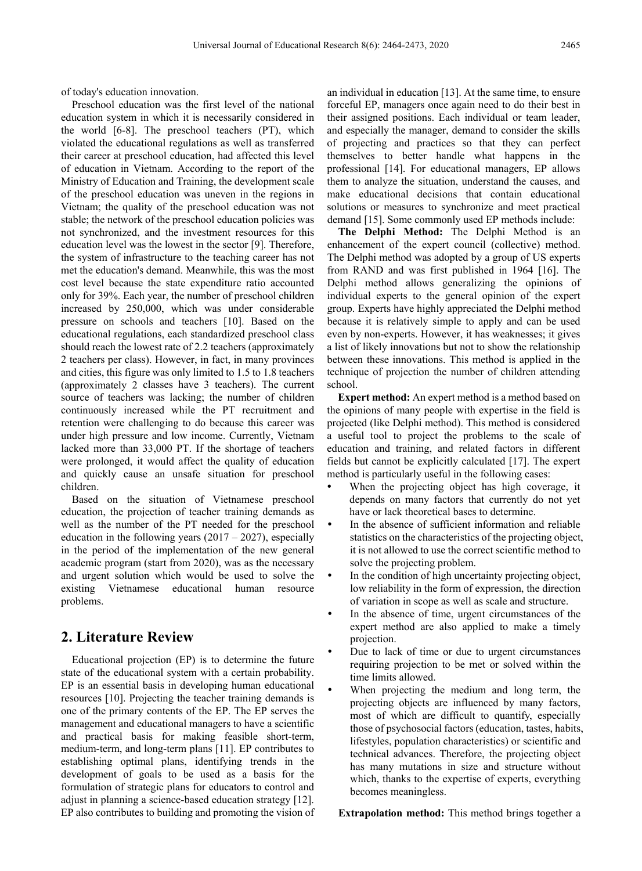of today's education innovation.

Preschool education was the first level of the national education system in which it is necessarily considered in the world [6-8]. The preschool teachers (PT), which violated the educational regulations as well as transferred their career at preschool education, had affected this level of education in Vietnam. According to the report of the Ministry of Education and Training, the development scale of the preschool education was uneven in the regions in Vietnam; the quality of the preschool education was not stable; the network of the preschool education policies was not synchronized, and the investment resources for this education level was the lowest in the sector [9]. Therefore, the system of infrastructure to the teaching career has not met the education's demand. Meanwhile, this was the most cost level because the state expenditure ratio accounted only for 39%. Each year, the number of preschool children increased by 250,000, which was under considerable pressure on schools and teachers [10]. Based on the educational regulations, each standardized preschool class should reach the lowest rate of 2.2 teachers (approximately 2 teachers per class). However, in fact, in many provinces and cities, this figure was only limited to 1.5 to 1.8 teachers (approximately 2 classes have 3 teachers). The current source of teachers was lacking; the number of children continuously increased while the PT recruitment and retention were challenging to do because this career was under high pressure and low income. Currently, Vietnam lacked more than 33,000 PT. If the shortage of teachers were prolonged, it would affect the quality of education and quickly cause an unsafe situation for preschool children.

Based on the situation of Vietnamese preschool education, the projection of teacher training demands as well as the number of the PT needed for the preschool education in the following years  $(2017 – 2027)$ , especially in the period of the implementation of the new general academic program (start from 2020), was as the necessary and urgent solution which would be used to solve the existing Vietnamese educational human resource problems.

# **2. Literature Review**

Educational projection (EP) is to determine the future state of the educational system with a certain probability. EP is an essential basis in developing human educational resources [10]. Projecting the teacher training demands is one of the primary contents of the EP. The EP serves the management and educational managers to have a scientific and practical basis for making feasible short-term, medium-term, and long-term plans [11]. EP contributes to establishing optimal plans, identifying trends in the development of goals to be used as a basis for the formulation of strategic plans for educators to control and adjust in planning a science-based education strategy [12]. EP also contributes to building and promoting the vision of an individual in education [13]. At the same time, to ensure forceful EP, managers once again need to do their best in their assigned positions. Each individual or team leader, and especially the manager, demand to consider the skills of projecting and practices so that they can perfect themselves to better handle what happens in the professional [14]. For educational managers, EP allows them to analyze the situation, understand the causes, and make educational decisions that contain educational solutions or measures to synchronize and meet practical demand [15]. Some commonly used EP methods include:

**The Delphi Method:** The Delphi Method is an enhancement of the expert council (collective) method. The Delphi method was adopted by a group of US experts from RAND and was first published in 1964 [16]. The Delphi method allows generalizing the opinions of individual experts to the general opinion of the expert group. Experts have highly appreciated the Delphi method because it is relatively simple to apply and can be used even by non-experts. However, it has weaknesses; it gives a list of likely innovations but not to show the relationship between these innovations. This method is applied in the technique of projection the number of children attending school.

**Expert method:** An expert method is a method based on the opinions of many people with expertise in the field is projected (like Delphi method). This method is considered a useful tool to project the problems to the scale of education and training, and related factors in different fields but cannot be explicitly calculated [17]. The expert method is particularly useful in the following cases:

- When the projecting object has high coverage, it depends on many factors that currently do not yet have or lack theoretical bases to determine.
- In the absence of sufficient information and reliable statistics on the characteristics of the projecting object, it is not allowed to use the correct scientific method to solve the projecting problem.
- In the condition of high uncertainty projecting object, low reliability in the form of expression, the direction of variation in scope as well as scale and structure.
- In the absence of time, urgent circumstances of the expert method are also applied to make a timely projection.
- Due to lack of time or due to urgent circumstances requiring projection to be met or solved within the time limits allowed.
- When projecting the medium and long term, the projecting objects are influenced by many factors, most of which are difficult to quantify, especially those of psychosocial factors (education, tastes, habits, lifestyles, population characteristics) or scientific and technical advances. Therefore, the projecting object has many mutations in size and structure without which, thanks to the expertise of experts, everything becomes meaningless.

**Extrapolation method:** This method brings together a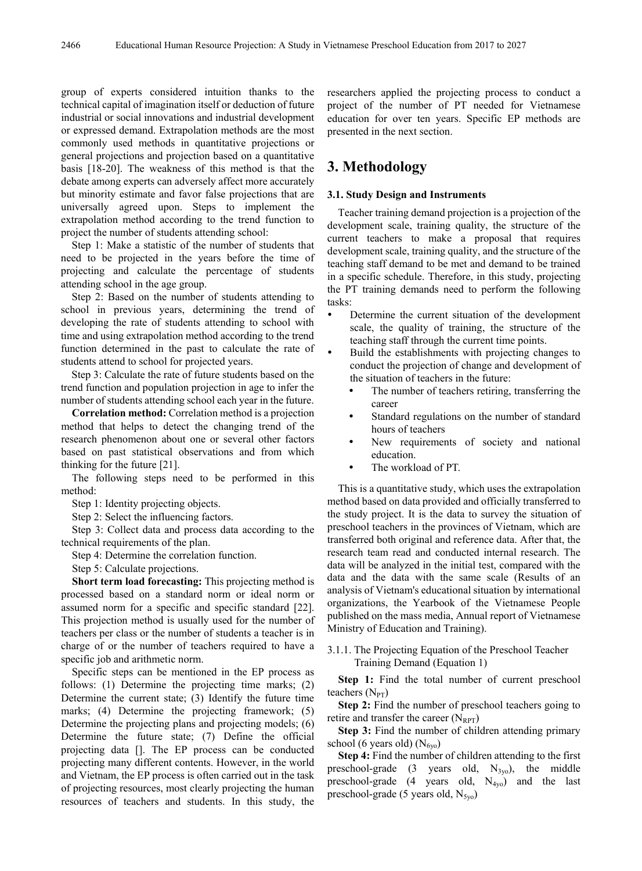group of experts considered intuition thanks to the technical capital of imagination itself or deduction of future industrial or social innovations and industrial development or expressed demand. Extrapolation methods are the most commonly used methods in quantitative projections or general projections and projection based on a quantitative basis [18-20]. The weakness of this method is that the debate among experts can adversely affect more accurately but minority estimate and favor false projections that are universally agreed upon. Steps to implement the extrapolation method according to the trend function to project the number of students attending school:

Step 1: Make a statistic of the number of students that need to be projected in the years before the time of projecting and calculate the percentage of students attending school in the age group.

Step 2: Based on the number of students attending to school in previous years, determining the trend of developing the rate of students attending to school with time and using extrapolation method according to the trend function determined in the past to calculate the rate of students attend to school for projected years.

Step 3: Calculate the rate of future students based on the trend function and population projection in age to infer the number of students attending school each year in the future.

**Correlation method:** Correlation method is a projection method that helps to detect the changing trend of the research phenomenon about one or several other factors based on past statistical observations and from which thinking for the future [21].

The following steps need to be performed in this method:

Step 1: Identity projecting objects.

Step 2: Select the influencing factors.

Step 3: Collect data and process data according to the technical requirements of the plan.

Step 4: Determine the correlation function.

Step 5: Calculate projections.

**Short term load forecasting:** This projecting method is processed based on a standard norm or ideal norm or assumed norm for a specific and specific standard [22]. This projection method is usually used for the number of teachers per class or the number of students a teacher is in charge of or the number of teachers required to have a specific job and arithmetic norm.

Specific steps can be mentioned in the EP process as follows: (1) Determine the projecting time marks; (2) Determine the current state; (3) Identify the future time marks; (4) Determine the projecting framework; (5) Determine the projecting plans and projecting models; (6) Determine the future state; (7) Define the official projecting data []. The EP process can be conducted projecting many different contents. However, in the world and Vietnam, the EP process is often carried out in the task of projecting resources, most clearly projecting the human resources of teachers and students. In this study, the researchers applied the projecting process to conduct a project of the number of PT needed for Vietnamese education for over ten years. Specific EP methods are presented in the next section.

# **3. Methodology**

#### **3.1. Study Design and Instruments**

Teacher training demand projection is a projection of the development scale, training quality, the structure of the current teachers to make a proposal that requires development scale, training quality, and the structure of the teaching staff demand to be met and demand to be trained in a specific schedule. Therefore, in this study, projecting the PT training demands need to perform the following tasks:

- Determine the current situation of the development scale, the quality of training, the structure of the teaching staff through the current time points.
- Build the establishments with projecting changes to conduct the projection of change and development of the situation of teachers in the future:
	- The number of teachers retiring, transferring the career
	- Standard regulations on the number of standard hours of teachers
	- New requirements of society and national education.
	- The workload of PT.

This is a quantitative study, which uses the extrapolation method based on data provided and officially transferred to the study project. It is the data to survey the situation of preschool teachers in the provinces of Vietnam, which are transferred both original and reference data. After that, the research team read and conducted internal research. The data will be analyzed in the initial test, compared with the data and the data with the same scale (Results of an analysis of Vietnam's educational situation by international organizations, the Yearbook of the Vietnamese People published on the mass media, Annual report of Vietnamese Ministry of Education and Training).

#### 3.1.1. The Projecting Equation of the Preschool Teacher Training Demand (Equation 1)

**Step 1:** Find the total number of current preschool teachers  $(N_{PT})$ 

**Step 2:** Find the number of preschool teachers going to retire and transfer the career  $(N_{RPT})$ 

**Step 3:** Find the number of children attending primary school (6 years old)  $(N_{6y0})$ 

**Step 4:** Find the number of children attending to the first preschool-grade (3 years old,  $N_{3y0}$ ), the middle preschool-grade  $(4 \text{ years} \text{ old}, N_{4\text{vo}})$  and the last preschool-grade (5 years old,  $N_{5v0}$ )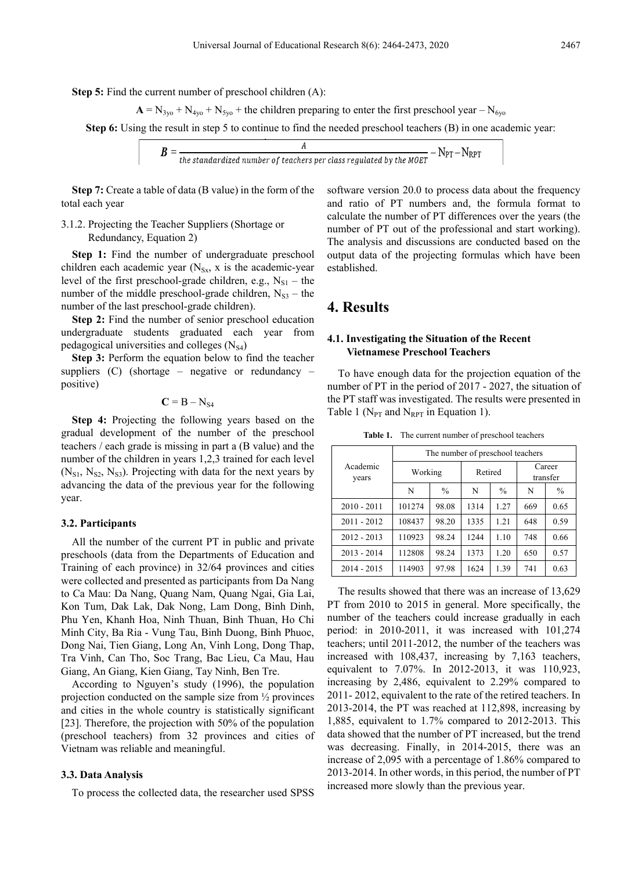**Step 5:** Find the current number of preschool children  $(A)$ :

$$
A = N_{3y0} + N_{4y0} + N_{5y0} +
$$
 the children preparing to enter the first preschool year – N<sub>6y0</sub>

**Step 6:** Using the result in step 5 to continue to find the needed preschool teachers (B) in one academic year:

$$
B = \frac{A}{\text{the standardized number of teachers per class regulated by the MOET}} - N_{\text{PT}} - N_{\text{RPT}}
$$

**Step 7:** Create a table of data (B value) in the form of the total each year

### 3.1.2. Projecting the Teacher Suppliers (Shortage or Redundancy, Equation 2)

**Step 1:** Find the number of undergraduate preschool children each academic year  $(N_{S_x}$ , x is the academic-year level of the first preschool-grade children, e.g.,  $N_{S1}$  – the number of the middle preschool-grade children,  $N_{S3}$  – the number of the last preschool-grade children).

**Step 2:** Find the number of senior preschool education undergraduate students graduated each year from pedagogical universities and colleges  $(N_{S4})$ 

**Step 3:** Perform the equation below to find the teacher suppliers (C) (shortage – negative or redundancy – positive)

 $C = B - N_{S4}$ 

**Step 4:** Projecting the following years based on the gradual development of the number of the preschool teachers / each grade is missing in part a (B value) and the number of the children in years 1,2,3 trained for each level  $(N_{S1}, N_{S2}, N_{S3})$ . Projecting with data for the next years by advancing the data of the previous year for the following year.

#### **3.2. Participants**

All the number of the current PT in public and private preschools (data from the Departments of Education and Training of each province) in 32/64 provinces and cities were collected and presented as participants from Da Nang to Ca Mau: Da Nang, Quang Nam, Quang Ngai, Gia Lai, Kon Tum, Dak Lak, Dak Nong, Lam Dong, Binh Dinh, Phu Yen, Khanh Hoa, Ninh Thuan, Binh Thuan, Ho Chi Minh City, Ba Ria - Vung Tau, Binh Duong, Binh Phuoc, Dong Nai, Tien Giang, Long An, Vinh Long, Dong Thap, Tra Vinh, Can Tho, Soc Trang, Bac Lieu, Ca Mau, Hau Giang, An Giang, Kien Giang, Tay Ninh, Ben Tre.

According to Nguyen's study (1996), the population projection conducted on the sample size from ½ provinces and cities in the whole country is statistically significant [23]. Therefore, the projection with 50% of the population (preschool teachers) from 32 provinces and cities of Vietnam was reliable and meaningful.

#### **3.3. Data Analysis**

To process the collected data, the researcher used SPSS

software version 20.0 to process data about the frequency and ratio of PT numbers and, the formula format to calculate the number of PT differences over the years (the number of PT out of the professional and start working). The analysis and discussions are conducted based on the output data of the projecting formulas which have been established.

# **4. Results**

#### **4.1. Investigating the Situation of the Recent Vietnamese Preschool Teachers**

To have enough data for the projection equation of the number of PT in the period of 2017 - 2027, the situation of the PT staff was investigated. The results were presented in Table 1 ( $N_{PT}$  and  $N_{RPT}$  in Equation 1).

**Table 1.** The current number of preschool teachers

| Academic<br>years | The number of preschool teachers |               |         |               |                    |               |
|-------------------|----------------------------------|---------------|---------|---------------|--------------------|---------------|
|                   | Working                          |               | Retired |               | Career<br>transfer |               |
|                   | N                                | $\frac{0}{0}$ | N       | $\frac{0}{0}$ | N                  | $\frac{0}{0}$ |
| $2010 - 2011$     | 101274                           | 98.08         | 1314    | 1.27          | 669                | 0.65          |
| $2011 - 2012$     | 108437                           | 98.20         | 1335    | 1.21          | 648                | 0.59          |
| $2012 - 2013$     | 110923                           | 98.24         | 1244    | 1.10          | 748                | 0.66          |
| $2013 - 2014$     | 112808                           | 98.24         | 1373    | 1.20          | 650                | 0.57          |
| $2014 - 2015$     | 114903                           | 97.98         | 1624    | 1.39          | 741                | 0.63          |

The results showed that there was an increase of 13,629 PT from 2010 to 2015 in general. More specifically, the number of the teachers could increase gradually in each period: in 2010-2011, it was increased with 101,274 teachers; until 2011-2012, the number of the teachers was increased with 108,437, increasing by 7,163 teachers, equivalent to 7.07%. In 2012-2013, it was 110,923, increasing by 2,486, equivalent to 2.29% compared to 2011- 2012, equivalent to the rate of the retired teachers. In 2013-2014, the PT was reached at 112,898, increasing by 1,885, equivalent to 1.7% compared to 2012-2013. This data showed that the number of PT increased, but the trend was decreasing. Finally, in 2014-2015, there was an increase of 2,095 with a percentage of 1.86% compared to 2013-2014. In other words, in this period, the number of PT increased more slowly than the previous year.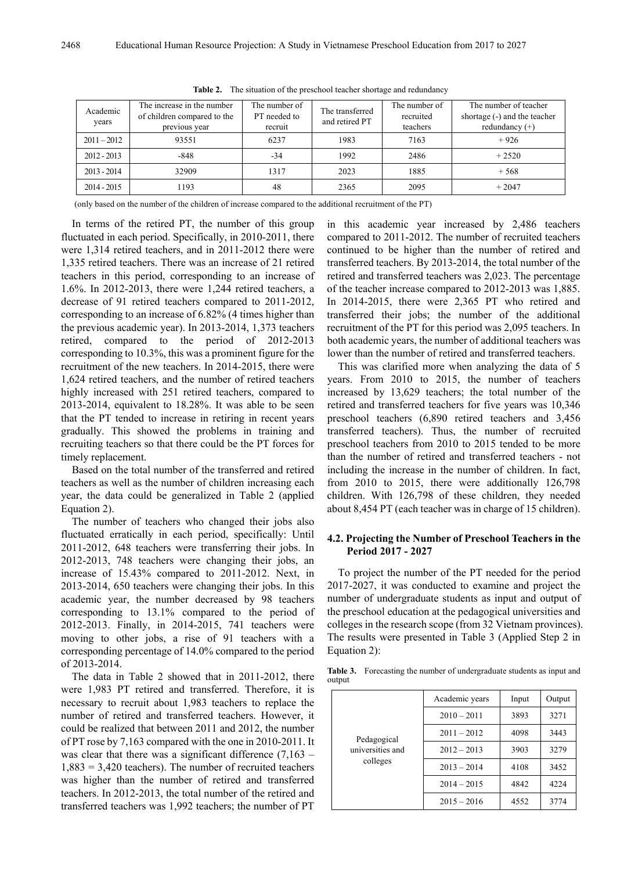| Academic<br>years | The increase in the number<br>of children compared to the<br>previous year | The number of<br>PT needed to<br>recruit | The transferred<br>and retired PT | The number of<br>recruited<br>teachers | The number of teacher<br>shortage (-) and the teacher<br>redundancy $(+)$ |
|-------------------|----------------------------------------------------------------------------|------------------------------------------|-----------------------------------|----------------------------------------|---------------------------------------------------------------------------|
| $2011 - 2012$     | 93551                                                                      | 6237                                     | 1983                              | 7163                                   | $+926$                                                                    |
| $2012 - 2013$     | $-848$                                                                     | -34                                      | 1992                              | 2486                                   | $+2520$                                                                   |
| $2013 - 2014$     | 32909                                                                      | 1317                                     | 2023                              | 1885                                   | $+568$                                                                    |
| 2014 - 2015       | 1193                                                                       | 48                                       | 2365                              | 2095                                   | $+2047$                                                                   |

**Table 2.** The situation of the preschool teacher shortage and redundancy

(only based on the number of the children of increase compared to the additional recruitment of the PT)

In terms of the retired PT, the number of this group fluctuated in each period. Specifically, in 2010-2011, there were 1,314 retired teachers, and in 2011-2012 there were 1,335 retired teachers. There was an increase of 21 retired teachers in this period, corresponding to an increase of 1.6%. In 2012-2013, there were 1,244 retired teachers, a decrease of 91 retired teachers compared to 2011-2012, corresponding to an increase of 6.82% (4 times higher than the previous academic year). In 2013-2014, 1,373 teachers retired, compared to the period of 2012-2013 corresponding to 10.3%, this was a prominent figure for the recruitment of the new teachers. In 2014-2015, there were 1,624 retired teachers, and the number of retired teachers highly increased with 251 retired teachers, compared to 2013-2014, equivalent to 18.28%. It was able to be seen that the PT tended to increase in retiring in recent years gradually. This showed the problems in training and recruiting teachers so that there could be the PT forces for timely replacement.

Based on the total number of the transferred and retired teachers as well as the number of children increasing each year, the data could be generalized in Table 2 (applied Equation 2).

The number of teachers who changed their jobs also fluctuated erratically in each period, specifically: Until 2011-2012, 648 teachers were transferring their jobs. In 2012-2013, 748 teachers were changing their jobs, an increase of 15.43% compared to 2011-2012. Next, in 2013-2014, 650 teachers were changing their jobs. In this academic year, the number decreased by 98 teachers corresponding to 13.1% compared to the period of 2012-2013. Finally, in 2014-2015, 741 teachers were moving to other jobs, a rise of 91 teachers with a corresponding percentage of 14.0% compared to the period of 2013-2014.

The data in Table 2 showed that in 2011-2012, there were 1,983 PT retired and transferred. Therefore, it is necessary to recruit about 1,983 teachers to replace the number of retired and transferred teachers. However, it could be realized that between 2011 and 2012, the number of PT rose by 7,163 compared with the one in 2010-2011. It was clear that there was a significant difference (7,163 – 1,883 = 3,420 teachers). The number of recruited teachers was higher than the number of retired and transferred teachers. In 2012-2013, the total number of the retired and transferred teachers was 1,992 teachers; the number of PT

in this academic year increased by 2,486 teachers compared to 2011-2012. The number of recruited teachers continued to be higher than the number of retired and transferred teachers. By 2013-2014, the total number of the retired and transferred teachers was 2,023. The percentage of the teacher increase compared to 2012-2013 was 1,885. In 2014-2015, there were 2,365 PT who retired and transferred their jobs; the number of the additional recruitment of the PT for this period was 2,095 teachers. In both academic years, the number of additional teachers was lower than the number of retired and transferred teachers.

This was clarified more when analyzing the data of 5 years. From 2010 to 2015, the number of teachers increased by 13,629 teachers; the total number of the retired and transferred teachers for five years was 10,346 preschool teachers (6,890 retired teachers and 3,456 transferred teachers). Thus, the number of recruited preschool teachers from 2010 to 2015 tended to be more than the number of retired and transferred teachers - not including the increase in the number of children. In fact, from 2010 to 2015, there were additionally 126,798 children. With 126,798 of these children, they needed about 8,454 PT (each teacher was in charge of 15 children).

#### **4.2. Projecting the Number of Preschool Teachers in the Period 2017 - 2027**

To project the number of the PT needed for the period 2017-2027, it was conducted to examine and project the number of undergraduate students as input and output of the preschool education at the pedagogical universities and colleges in the research scope (from 32 Vietnam provinces). The results were presented in Table 3 (Applied Step 2 in Equation 2):

**Table 3.** Forecasting the number of undergraduate students as input and output

| Pedagogical<br>universities and<br>colleges | Academic years | Input | Output |
|---------------------------------------------|----------------|-------|--------|
|                                             | $2010 - 2011$  | 3893  | 3271   |
|                                             | $2011 - 2012$  | 4098  | 3443   |
|                                             | $2012 - 2013$  | 3903  | 3279   |
|                                             | $2013 - 2014$  | 4108  | 3452   |
|                                             | $2014 - 2015$  | 4842  | 4224   |
|                                             | $2015 - 2016$  | 4552  | 3774   |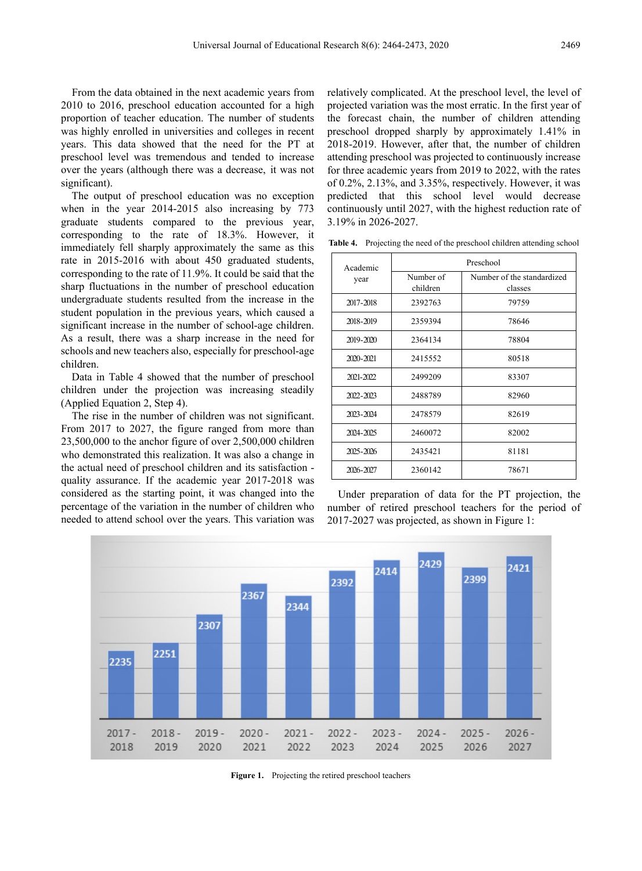From the data obtained in the next academic years from 2010 to 2016, preschool education accounted for a high proportion of teacher education. The number of students was highly enrolled in universities and colleges in recent years. This data showed that the need for the PT at preschool level was tremendous and tended to increase over the years (although there was a decrease, it was not significant).

The output of preschool education was no exception when in the year 2014-2015 also increasing by 773 graduate students compared to the previous year, corresponding to the rate of 18.3%. However, it immediately fell sharply approximately the same as this rate in 2015-2016 with about 450 graduated students, corresponding to the rate of 11.9%. It could be said that the sharp fluctuations in the number of preschool education undergraduate students resulted from the increase in the student population in the previous years, which caused a significant increase in the number of school-age children. As a result, there was a sharp increase in the need for schools and new teachers also, especially for preschool-age children.

Data in Table 4 showed that the number of preschool children under the projection was increasing steadily (Applied Equation 2, Step 4).

The rise in the number of children was not significant. From 2017 to 2027, the figure ranged from more than 23,500,000 to the anchor figure of over 2,500,000 children who demonstrated this realization. It was also a change in the actual need of preschool children and its satisfaction quality assurance. If the academic year 2017-2018 was considered as the starting point, it was changed into the percentage of the variation in the number of children who needed to attend school over the years. This variation was

relatively complicated. At the preschool level, the level of projected variation was the most erratic. In the first year of the forecast chain, the number of children attending preschool dropped sharply by approximately 1.41% in 2018-2019. However, after that, the number of children attending preschool was projected to continuously increase for three academic years from 2019 to 2022, with the rates of 0.2%, 2.13%, and 3.35%, respectively. However, it was predicted that this school level would decrease continuously until 2027, with the highest reduction rate of 3.19% in 2026-2027.

**Table 4.** Projecting the need of the preschool children attending school

| Academic  | Preschool             |                                       |  |  |
|-----------|-----------------------|---------------------------------------|--|--|
| year      | Number of<br>children | Number of the standardized<br>classes |  |  |
| 2017-2018 | 2392763               | 79759                                 |  |  |
| 2018-2019 | 2359394               | 78646                                 |  |  |
| 2019-2020 | 2364134               | 78804                                 |  |  |
| 2020-2021 | 2415552               | 80518                                 |  |  |
| 2021-2022 | 2499209               | 83307                                 |  |  |
| 2022-2023 | 2488789               | 82960                                 |  |  |
| 2023-2024 | 2478579               | 82619                                 |  |  |
| 2024-2025 | 2460072               | 82002                                 |  |  |
| 2025-2026 | 2435421               | 81181                                 |  |  |
| 2026-2027 | 2360142               | 78671                                 |  |  |

Under preparation of data for the PT projection, the number of retired preschool teachers for the period of 2017-2027 was projected, as shown in Figure 1:



**Figure 1.** Projecting the retired preschool teachers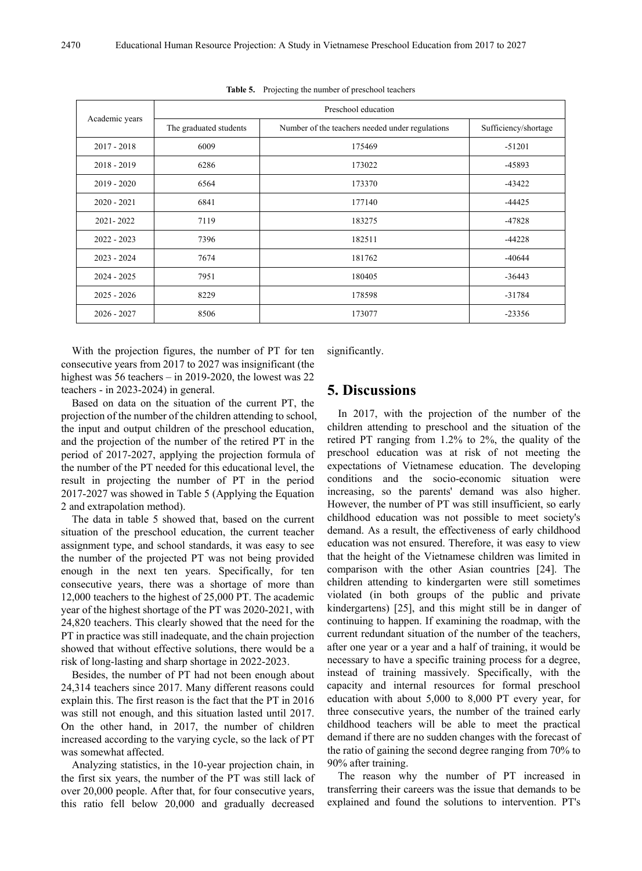| Academic years | Preschool education    |                                                 |                      |  |  |
|----------------|------------------------|-------------------------------------------------|----------------------|--|--|
|                | The graduated students | Number of the teachers needed under regulations | Sufficiency/shortage |  |  |
| $2017 - 2018$  | 6009                   | 175469                                          | $-51201$             |  |  |
| $2018 - 2019$  | 6286                   | 173022                                          | -45893               |  |  |
| $2019 - 2020$  | 6564                   | 173370                                          | $-43422$             |  |  |
| $2020 - 2021$  | 6841                   | 177140                                          | -44425               |  |  |
| 2021-2022      | 7119                   | 183275                                          | $-47828$             |  |  |
| $2022 - 2023$  | 7396                   | 182511                                          | $-44228$             |  |  |
| $2023 - 2024$  | 7674                   | 181762                                          | $-40644$             |  |  |
| $2024 - 2025$  | 7951                   | 180405                                          | $-36443$             |  |  |
| $2025 - 2026$  | 8229                   | 178598                                          | $-31784$             |  |  |
| $2026 - 2027$  | 8506                   | 173077                                          | $-23356$             |  |  |

**Table 5.** Projecting the number of preschool teachers

With the projection figures, the number of PT for ten consecutive years from 2017 to 2027 was insignificant (the highest was 56 teachers – in 2019-2020, the lowest was 22 teachers - in 2023-2024) in general.

Based on data on the situation of the current PT, the projection of the number of the children attending to school, the input and output children of the preschool education, and the projection of the number of the retired PT in the period of 2017-2027, applying the projection formula of the number of the PT needed for this educational level, the result in projecting the number of PT in the period 2017-2027 was showed in Table 5 (Applying the Equation 2 and extrapolation method).

The data in table 5 showed that, based on the current situation of the preschool education, the current teacher assignment type, and school standards, it was easy to see the number of the projected PT was not being provided enough in the next ten years. Specifically, for ten consecutive years, there was a shortage of more than 12,000 teachers to the highest of 25,000 PT. The academic year of the highest shortage of the PT was 2020-2021, with 24,820 teachers. This clearly showed that the need for the PT in practice was still inadequate, and the chain projection showed that without effective solutions, there would be a risk of long-lasting and sharp shortage in 2022-2023.

Besides, the number of PT had not been enough about 24,314 teachers since 2017. Many different reasons could explain this. The first reason is the fact that the PT in 2016 was still not enough, and this situation lasted until 2017. On the other hand, in 2017, the number of children increased according to the varying cycle, so the lack of PT was somewhat affected.

Analyzing statistics, in the 10-year projection chain, in the first six years, the number of the PT was still lack of over 20,000 people. After that, for four consecutive years, this ratio fell below 20,000 and gradually decreased

significantly.

# **5. Discussions**

In 2017, with the projection of the number of the children attending to preschool and the situation of the retired PT ranging from 1.2% to 2%, the quality of the preschool education was at risk of not meeting the expectations of Vietnamese education. The developing conditions and the socio-economic situation were increasing, so the parents' demand was also higher. However, the number of PT was still insufficient, so early childhood education was not possible to meet society's demand. As a result, the effectiveness of early childhood education was not ensured. Therefore, it was easy to view that the height of the Vietnamese children was limited in comparison with the other Asian countries [24]. The children attending to kindergarten were still sometimes violated (in both groups of the public and private kindergartens) [25], and this might still be in danger of continuing to happen. If examining the roadmap, with the current redundant situation of the number of the teachers, after one year or a year and a half of training, it would be necessary to have a specific training process for a degree, instead of training massively. Specifically, with the capacity and internal resources for formal preschool education with about 5,000 to 8,000 PT every year, for three consecutive years, the number of the trained early childhood teachers will be able to meet the practical demand if there are no sudden changes with the forecast of the ratio of gaining the second degree ranging from 70% to 90% after training.

The reason why the number of PT increased in transferring their careers was the issue that demands to be explained and found the solutions to intervention. PT's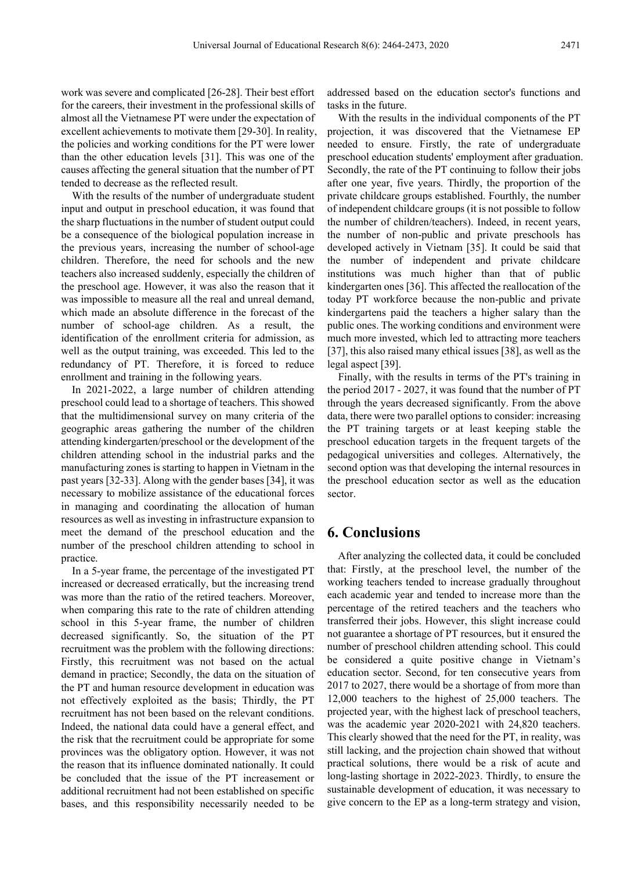work was severe and complicated [26-28]. Their best effort for the careers, their investment in the professional skills of almost all the Vietnamese PT were under the expectation of excellent achievements to motivate them [29-30]. In reality, the policies and working conditions for the PT were lower than the other education levels [31]. This was one of the causes affecting the general situation that the number of PT tended to decrease as the reflected result.

With the results of the number of undergraduate student input and output in preschool education, it was found that the sharp fluctuations in the number of student output could be a consequence of the biological population increase in the previous years, increasing the number of school-age children. Therefore, the need for schools and the new teachers also increased suddenly, especially the children of the preschool age. However, it was also the reason that it was impossible to measure all the real and unreal demand, which made an absolute difference in the forecast of the number of school-age children. As a result, the identification of the enrollment criteria for admission, as well as the output training, was exceeded. This led to the redundancy of PT. Therefore, it is forced to reduce enrollment and training in the following years.

In 2021-2022, a large number of children attending preschool could lead to a shortage of teachers. This showed that the multidimensional survey on many criteria of the geographic areas gathering the number of the children attending kindergarten/preschool or the development of the children attending school in the industrial parks and the manufacturing zones is starting to happen in Vietnam in the past years [32-33]. Along with the gender bases [34], it was necessary to mobilize assistance of the educational forces in managing and coordinating the allocation of human resources as well as investing in infrastructure expansion to meet the demand of the preschool education and the number of the preschool children attending to school in practice.

In a 5-year frame, the percentage of the investigated PT increased or decreased erratically, but the increasing trend was more than the ratio of the retired teachers. Moreover, when comparing this rate to the rate of children attending school in this 5-year frame, the number of children decreased significantly. So, the situation of the PT recruitment was the problem with the following directions: Firstly, this recruitment was not based on the actual demand in practice; Secondly, the data on the situation of the PT and human resource development in education was not effectively exploited as the basis; Thirdly, the PT recruitment has not been based on the relevant conditions. Indeed, the national data could have a general effect, and the risk that the recruitment could be appropriate for some provinces was the obligatory option. However, it was not the reason that its influence dominated nationally. It could be concluded that the issue of the PT increasement or additional recruitment had not been established on specific bases, and this responsibility necessarily needed to be

addressed based on the education sector's functions and tasks in the future.

With the results in the individual components of the PT projection, it was discovered that the Vietnamese EP needed to ensure. Firstly, the rate of undergraduate preschool education students' employment after graduation. Secondly, the rate of the PT continuing to follow their jobs after one year, five years. Thirdly, the proportion of the private childcare groups established. Fourthly, the number of independent childcare groups (it is not possible to follow the number of children/teachers). Indeed, in recent years, the number of non-public and private preschools has developed actively in Vietnam [35]. It could be said that the number of independent and private childcare institutions was much higher than that of public kindergarten ones [36]. This affected the reallocation of the today PT workforce because the non-public and private kindergartens paid the teachers a higher salary than the public ones. The working conditions and environment were much more invested, which led to attracting more teachers [37], this also raised many ethical issues [38], as well as the legal aspect [39].

Finally, with the results in terms of the PT's training in the period 2017 - 2027, it was found that the number of PT through the years decreased significantly. From the above data, there were two parallel options to consider: increasing the PT training targets or at least keeping stable the preschool education targets in the frequent targets of the pedagogical universities and colleges. Alternatively, the second option was that developing the internal resources in the preschool education sector as well as the education sector.

# **6. Conclusions**

After analyzing the collected data, it could be concluded that: Firstly, at the preschool level, the number of the working teachers tended to increase gradually throughout each academic year and tended to increase more than the percentage of the retired teachers and the teachers who transferred their jobs. However, this slight increase could not guarantee a shortage of PT resources, but it ensured the number of preschool children attending school. This could be considered a quite positive change in Vietnam's education sector. Second, for ten consecutive years from 2017 to 2027, there would be a shortage of from more than 12,000 teachers to the highest of 25,000 teachers. The projected year, with the highest lack of preschool teachers, was the academic year 2020-2021 with 24,820 teachers. This clearly showed that the need for the PT, in reality, was still lacking, and the projection chain showed that without practical solutions, there would be a risk of acute and long-lasting shortage in 2022-2023. Thirdly, to ensure the sustainable development of education, it was necessary to give concern to the EP as a long-term strategy and vision,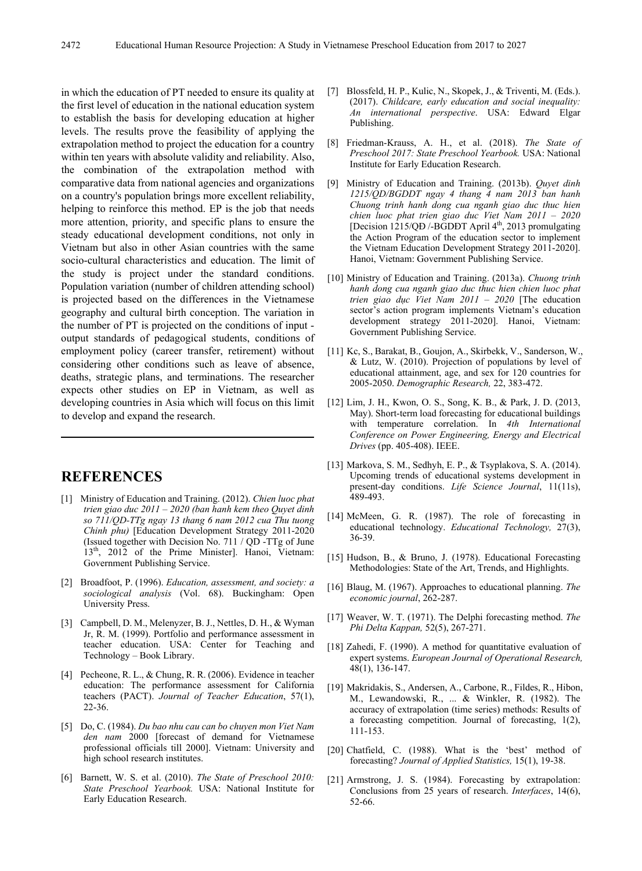in which the education of PT needed to ensure its quality at the first level of education in the national education system to establish the basis for developing education at higher levels. The results prove the feasibility of applying the extrapolation method to project the education for a country within ten years with absolute validity and reliability. Also, the combination of the extrapolation method with comparative data from national agencies and organizations on a country's population brings more excellent reliability, helping to reinforce this method. EP is the job that needs more attention, priority, and specific plans to ensure the steady educational development conditions, not only in Vietnam but also in other Asian countries with the same socio-cultural characteristics and education. The limit of the study is project under the standard conditions. Population variation (number of children attending school) is projected based on the differences in the Vietnamese geography and cultural birth conception. The variation in the number of PT is projected on the conditions of input output standards of pedagogical students, conditions of employment policy (career transfer, retirement) without considering other conditions such as leave of absence, deaths, strategic plans, and terminations. The researcher expects other studies on EP in Vietnam, as well as developing countries in Asia which will focus on this limit to develop and expand the research.

# **REFERENCES**

- [1] Ministry of Education and Training. (2012). *Chien luoc phat trien giao duc 2011 – 2020 (ban hanh kem theo Quyet dinh so 711/QD-TTg ngay 13 thang 6 nam 2012 cua Thu tuong Chinh phu)* [Education Development Strategy 2011-2020 (Issued together with Decision No. 711 / QD -TTg of June 13<sup>th</sup>, 2012 of the Prime Minister]. Hanoi, Vietnam: Government Publishing Service.
- [2] Broadfoot, P. (1996). *Education, assessment, and society: a sociological analysis* (Vol. 68). Buckingham: Open University Press.
- [3] Campbell, D. M., Melenyzer, B. J., Nettles, D. H., & Wyman Jr, R. M. (1999). Portfolio and performance assessment in teacher education. USA: Center for Teaching and Technology – Book Library.
- [4] Pecheone, R. L., & Chung, R. R. (2006). Evidence in teacher education: The performance assessment for California teachers (PACT). *Journal of Teacher Education*, 57(1), 22-36.
- [5] Do, C. (1984). *Du bao nhu cau can bo chuyen mon Viet Nam den nam* 2000 [forecast of demand for Vietnamese professional officials till 2000]. Vietnam: University and high school research institutes.
- [6] Barnett, W. S. et al. (2010). *The State of Preschool 2010: State Preschool Yearbook.* USA: National Institute for Early Education Research.
- [7] Blossfeld, H. P., Kulic, N., Skopek, J., & Triventi, M. (Eds.). (2017). *Childcare, early education and social inequality: An international perspective*. USA: Edward Elgar Publishing.
- [8] Friedman-Krauss, A. H., et al. (2018). *The State of Preschool 2017: State Preschool Yearbook.* USA: National Institute for Early Education Research.
- [9] Ministry of Education and Training. (2013b). *Quyet dinh 1215/QD/BGDDT ngay 4 thang 4 nam 2013 ban hanh Chuong trinh hanh dong cua nganh giao duc thuc hien chien luoc phat trien giao duc Viet Nam 2011 – 2020* [Decision 1215/QĐ /-BGDĐT April 4<sup>th</sup>, 2013 promulgating the Action Program of the education sector to implement the Vietnam Education Development Strategy 2011-2020]. Hanoi, Vietnam: Government Publishing Service.
- [10] Ministry of Education and Training. (2013a). *Chuong trinh hanh dong cua nganh giao duc thuc hien chien luoc phat trien giao dục Viet Nam 2011 – 2020* [The education sector's action program implements Vietnam's education development strategy 2011-2020]. Hanoi, Vietnam: Government Publishing Service.
- [11] Kc, S., Barakat, B., Goujon, A., Skirbekk, V., Sanderson, W., & Lutz, W. (2010). Projection of populations by level of educational attainment, age, and sex for 120 countries for 2005-2050. *Demographic Research,* 22, 383-472.
- [12] Lim, J. H., Kwon, O. S., Song, K. B., & Park, J. D. (2013, May). Short-term load forecasting for educational buildings with temperature correlation. In *4th International Conference on Power Engineering, Energy and Electrical Drives* (pp. 405-408). IEEE.
- [13] Markova, S. M., Sedhyh, E. P., & Tsyplakova, S. A. (2014). Upcoming trends of educational systems development in present-day conditions. *Life Science Journal*, 11(11s), 489-493.
- [14] McMeen, G. R. (1987). The role of forecasting in educational technology. *Educational Technology,* 27(3), 36-39.
- [15] Hudson, B., & Bruno, J. (1978). Educational Forecasting Methodologies: State of the Art, Trends, and Highlights.
- [16] Blaug, M. (1967). Approaches to educational planning. *The economic journal*, 262-287.
- [17] Weaver, W. T. (1971). The Delphi forecasting method. *The Phi Delta Kappan,* 52(5), 267-271.
- [18] Zahedi, F. (1990). A method for quantitative evaluation of expert systems. *European Journal of Operational Research,* 48(1), 136-147.
- [19] Makridakis, S., Andersen, A., Carbone, R., Fildes, R., Hibon, M., Lewandowski, R., ... & Winkler, R. (1982). The accuracy of extrapolation (time series) methods: Results of a forecasting competition. Journal of forecasting, 1(2), 111-153.
- [20] Chatfield, C. (1988). What is the 'best' method of forecasting? *Journal of Applied Statistics,* 15(1), 19-38.
- [21] Armstrong, J. S. (1984). Forecasting by extrapolation: Conclusions from 25 years of research. *Interfaces*, 14(6), 52-66.